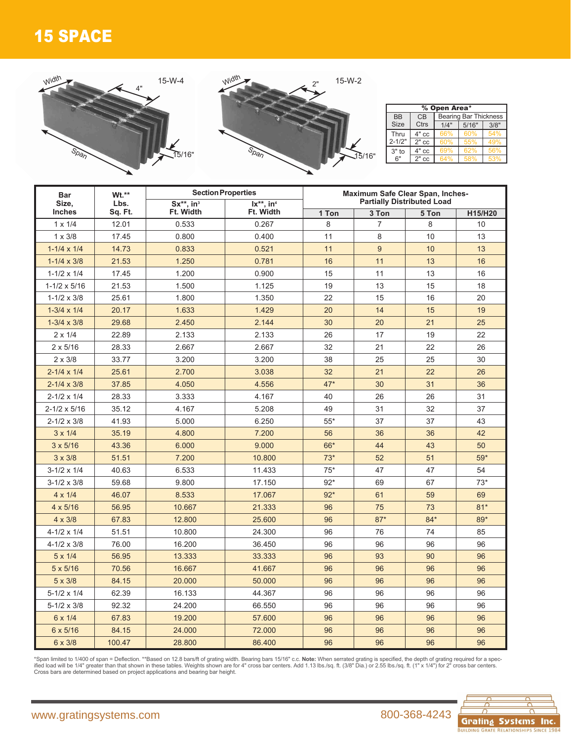## 15 SPACE



| <b>Bar</b><br>Size,<br><b>Inches</b> | Wt.**           | <b>Section Properties</b>                |                                                   | Maximum Safe Clear Span, Inches-<br><b>Partially Distributed Load</b> |                |       |         |  |  |  |
|--------------------------------------|-----------------|------------------------------------------|---------------------------------------------------|-----------------------------------------------------------------------|----------------|-------|---------|--|--|--|
|                                      | Lbs.<br>Sq. Ft. | $Sx^{**}$ , in <sup>3</sup><br>Ft. Width | $\mathsf{Ix}^{**}$ . in <sup>4</sup><br>Ft. Width | 1 Ton                                                                 | 3 Ton          | 5 Ton | H15/H20 |  |  |  |
| $1 \times 1/4$                       | 12.01           | 0.533                                    | 0.267                                             | 8                                                                     | $\overline{7}$ | 8     | 10      |  |  |  |
| $1 \times 3/8$                       | 17.45           | 0.800                                    | 0.400                                             | 11                                                                    | 8              | 10    | 13      |  |  |  |
| $1 - 1/4 \times 1/4$                 | 14.73           | 0.833                                    | 0.521                                             | 11                                                                    | 9              | 10    | 13      |  |  |  |
| $1 - 1/4 \times 3/8$                 | 21.53           | 1.250                                    | 0.781                                             | 16                                                                    | 11             | 13    | 16      |  |  |  |
| $1-1/2 \times 1/4$                   | 17.45           | 1.200                                    | 0.900                                             | 15                                                                    | 11             | 13    | 16      |  |  |  |
| $1 - 1/2 \times 5/16$                | 21.53           | 1.500                                    | 1.125                                             | 19                                                                    | 13             | 15    | 18      |  |  |  |
| $1 - 1/2 \times 3/8$                 | 25.61           | 1.800                                    | 1.350                                             | 22                                                                    | 15             | 16    | 20      |  |  |  |
| $1-3/4 \times 1/4$                   | 20.17           | 1.633                                    | 1.429                                             | 20                                                                    | 14             | 15    | 19      |  |  |  |
| $1 - 3/4 \times 3/8$                 | 29.68           | 2.450                                    | 2.144                                             | 30                                                                    | 20             | 21    | 25      |  |  |  |
| $2 \times 1/4$                       | 22.89           | 2.133                                    | 2.133                                             | 26                                                                    | 17             | 19    | 22      |  |  |  |
| $2 \times 5/16$                      | 28.33           | 2.667                                    | 2.667                                             | 32                                                                    | 21             | 22    | 26      |  |  |  |
| $2 \times 3/8$                       | 33.77           | 3.200                                    | 3.200                                             | 38                                                                    | 25             | 25    | 30      |  |  |  |
| $2 - 1/4 \times 1/4$                 | 25.61           | 2.700                                    | 3.038                                             | 32                                                                    | 21             | 22    | 26      |  |  |  |
| $2 - 1/4 \times 3/8$                 | 37.85           | 4.050                                    | 4.556                                             | $47*$                                                                 | 30             | 31    | 36      |  |  |  |
| $2 - 1/2 \times 1/4$                 | 28.33           | 3.333                                    | 4.167                                             | 40                                                                    | 26             | 26    | 31      |  |  |  |
| 2-1/2 x 5/16                         | 35.12           | 4.167                                    | 5.208                                             | 49                                                                    | 31             | 32    | 37      |  |  |  |
| $2 - 1/2 \times 3/8$                 | 41.93           | 5.000                                    | 6.250                                             | $55*$                                                                 | 37             | 37    | 43      |  |  |  |
| $3 \times 1/4$                       | 35.19           | 4.800                                    | 7.200                                             | 56                                                                    | 36             | 36    | 42      |  |  |  |
| $3 \times 5/16$                      | 43.36           | 6.000                                    | 9.000                                             | 66*                                                                   | 44             | 43    | 50      |  |  |  |
| $3 \times 3/8$                       | 51.51           | 7.200                                    | 10.800                                            | $73*$                                                                 | 52             | 51    | $59*$   |  |  |  |
| $3-1/2 \times 1/4$                   | 40.63           | 6.533                                    | 11.433                                            | $75*$                                                                 | 47             | 47    | 54      |  |  |  |
| $3-1/2 \times 3/8$                   | 59.68           | 9.800                                    | 17.150                                            | $92*$                                                                 | 69             | 67    | $73*$   |  |  |  |
| $4 \times 1/4$                       | 46.07           | 8.533                                    | 17.067                                            | $92*$                                                                 | 61             | 59    | 69      |  |  |  |
| $4 \times 5/16$                      | 56.95           | 10.667                                   | 21.333                                            | 96                                                                    | 75             | 73    | $81*$   |  |  |  |
| $4 \times 3/8$                       | 67.83           | 12.800                                   | 25.600                                            | 96                                                                    | $87*$          | $84*$ | 89*     |  |  |  |
| 4-1/2 x 1/4                          | 51.51           | 10.800                                   | 24.300                                            | 96                                                                    | 76             | 74    | 85      |  |  |  |
| 4-1/2 x 3/8                          | 76.00           | 16.200                                   | 36.450                                            | 96                                                                    | 96             | 96    | 96      |  |  |  |
| $5 \times 1/4$                       | 56.95           | 13.333                                   | 33.333                                            | 96                                                                    | 93             | 90    | 96      |  |  |  |
| $5 \times 5/16$                      | 70.56           | 16.667                                   | 41.667                                            | 96                                                                    | 96             | 96    | 96      |  |  |  |
| $5 \times 3/8$                       | 84.15           | 20.000                                   | 50.000                                            | 96                                                                    | 96             | 96    | 96      |  |  |  |
| $5-1/2 \times 1/4$                   | 62.39           | 16.133                                   | 44.367                                            | 96                                                                    | 96             | 96    | 96      |  |  |  |
| $5 - 1/2 \times 3/8$                 | 92.32           | 24.200                                   | 66.550                                            | 96                                                                    | 96             | 96    | 96      |  |  |  |
| 6 x 1/4                              | 67.83           | 19.200                                   | 57.600                                            | 96                                                                    | 96             | 96    | 96      |  |  |  |
| 6 x 5/16                             | 84.15           | 24.000                                   | 72.000                                            | 96                                                                    | 96             | 96    | 96      |  |  |  |
| 6 x 3/8                              | 100.47          | 28.800                                   | 86.400                                            | 96                                                                    | 96             | 96    | 96      |  |  |  |

\*Span limited to 1/400 of span = Deflection. \*\*Based on 12.8 bars/ft of grating width. Bearing bars 15/16" c.c. **Note:** When serrated grating is specified, the depth of grating required for a spec-<br>ified load will be 1/4"